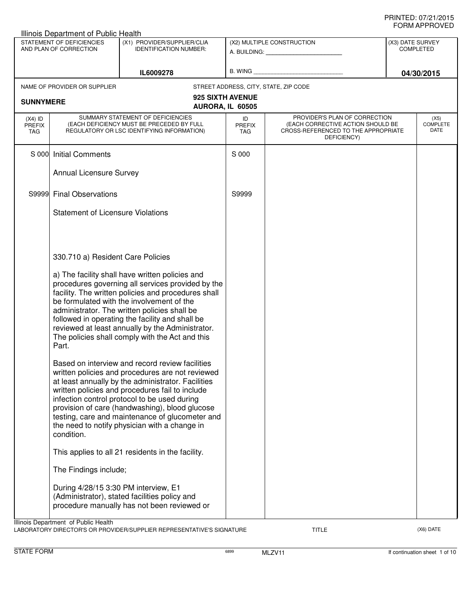|                                   | Illinois Department of Public Health                                                                                                                                                                                                                                                                                                                                                                                        |                                                                                                                                                                                                                                                                                                                                                                                                                    |                                      |                                                                                                                          |  |                                      |  |
|-----------------------------------|-----------------------------------------------------------------------------------------------------------------------------------------------------------------------------------------------------------------------------------------------------------------------------------------------------------------------------------------------------------------------------------------------------------------------------|--------------------------------------------------------------------------------------------------------------------------------------------------------------------------------------------------------------------------------------------------------------------------------------------------------------------------------------------------------------------------------------------------------------------|--------------------------------------|--------------------------------------------------------------------------------------------------------------------------|--|--------------------------------------|--|
|                                   | STATEMENT OF DEFICIENCIES<br>(X1) PROVIDER/SUPPLIER/CLIA<br>AND PLAN OF CORRECTION<br><b>IDENTIFICATION NUMBER:</b>                                                                                                                                                                                                                                                                                                         |                                                                                                                                                                                                                                                                                                                                                                                                                    |                                      | (X2) MULTIPLE CONSTRUCTION<br>A. BUILDING: A AND A BUILDING:                                                             |  | (X3) DATE SURVEY<br><b>COMPLETED</b> |  |
|                                   |                                                                                                                                                                                                                                                                                                                                                                                                                             | IL6009278                                                                                                                                                                                                                                                                                                                                                                                                          |                                      |                                                                                                                          |  | 04/30/2015                           |  |
|                                   | NAME OF PROVIDER OR SUPPLIER                                                                                                                                                                                                                                                                                                                                                                                                |                                                                                                                                                                                                                                                                                                                                                                                                                    |                                      | STREET ADDRESS, CITY, STATE, ZIP CODE                                                                                    |  |                                      |  |
| <b>SUNNYMERE</b>                  |                                                                                                                                                                                                                                                                                                                                                                                                                             |                                                                                                                                                                                                                                                                                                                                                                                                                    | 925 SIXTH AVENUE<br>AURORA, IL 60505 |                                                                                                                          |  |                                      |  |
| $(X4)$ ID<br><b>PREFIX</b><br>TAG |                                                                                                                                                                                                                                                                                                                                                                                                                             | SUMMARY STATEMENT OF DEFICIENCIES<br>(EACH DEFICIENCY MUST BE PRECEDED BY FULL<br>REGULATORY OR LSC IDENTIFYING INFORMATION)                                                                                                                                                                                                                                                                                       | ID<br><b>PREFIX</b><br><b>TAG</b>    | PROVIDER'S PLAN OF CORRECTION<br>(EACH CORRECTIVE ACTION SHOULD BE<br>CROSS-REFERENCED TO THE APPROPRIATE<br>DEFICIENCY) |  | (X5)<br><b>COMPLETE</b><br>DATE      |  |
| S 000                             | <b>Initial Comments</b>                                                                                                                                                                                                                                                                                                                                                                                                     |                                                                                                                                                                                                                                                                                                                                                                                                                    | S 000                                |                                                                                                                          |  |                                      |  |
|                                   | Annual Licensure Survey                                                                                                                                                                                                                                                                                                                                                                                                     |                                                                                                                                                                                                                                                                                                                                                                                                                    |                                      |                                                                                                                          |  |                                      |  |
| S9999                             | <b>Final Observations</b>                                                                                                                                                                                                                                                                                                                                                                                                   |                                                                                                                                                                                                                                                                                                                                                                                                                    | S9999                                |                                                                                                                          |  |                                      |  |
|                                   | <b>Statement of Licensure Violations</b>                                                                                                                                                                                                                                                                                                                                                                                    |                                                                                                                                                                                                                                                                                                                                                                                                                    |                                      |                                                                                                                          |  |                                      |  |
|                                   |                                                                                                                                                                                                                                                                                                                                                                                                                             |                                                                                                                                                                                                                                                                                                                                                                                                                    |                                      |                                                                                                                          |  |                                      |  |
|                                   | 330.710 a) Resident Care Policies                                                                                                                                                                                                                                                                                                                                                                                           |                                                                                                                                                                                                                                                                                                                                                                                                                    |                                      |                                                                                                                          |  |                                      |  |
|                                   | a) The facility shall have written policies and<br>procedures governing all services provided by the<br>facility. The written policies and procedures shall<br>be formulated with the involvement of the<br>administrator. The written policies shall be<br>followed in operating the facility and shall be<br>reviewed at least annually by the Administrator.<br>The policies shall comply with the Act and this<br>Part. |                                                                                                                                                                                                                                                                                                                                                                                                                    |                                      |                                                                                                                          |  |                                      |  |
|                                   | condition.                                                                                                                                                                                                                                                                                                                                                                                                                  | Based on interview and record review facilities<br>written policies and procedures are not reviewed<br>at least annually by the administrator. Facilities<br>written policies and procedures fail to include<br>infection control protocol to be used during<br>provision of care (handwashing), blood glucose<br>testing, care and maintenance of glucometer and<br>the need to notify physician with a change in |                                      |                                                                                                                          |  |                                      |  |
|                                   |                                                                                                                                                                                                                                                                                                                                                                                                                             | This applies to all 21 residents in the facility.                                                                                                                                                                                                                                                                                                                                                                  |                                      |                                                                                                                          |  |                                      |  |
|                                   | The Findings include;                                                                                                                                                                                                                                                                                                                                                                                                       |                                                                                                                                                                                                                                                                                                                                                                                                                    |                                      |                                                                                                                          |  |                                      |  |
|                                   | During 4/28/15 3:30 PM interview, E1                                                                                                                                                                                                                                                                                                                                                                                        | (Administrator), stated facilities policy and<br>procedure manually has not been reviewed or                                                                                                                                                                                                                                                                                                                       |                                      |                                                                                                                          |  |                                      |  |
|                                   | Illinois Department of Public Health                                                                                                                                                                                                                                                                                                                                                                                        | AROBATORY DIRECTOR'S OR PROVIDER/SLIPPLIER REPRESENTATIVE'S SIGNATURE                                                                                                                                                                                                                                                                                                                                              |                                      | TITI E                                                                                                                   |  | (X6) DATE                            |  |

LABORATORY DIRECTOR'S OR PROVIDER/SUPPLIER REPRESENTATIVE'S SIGNATURE TITLE TITLE THE TITLE (X6) DATE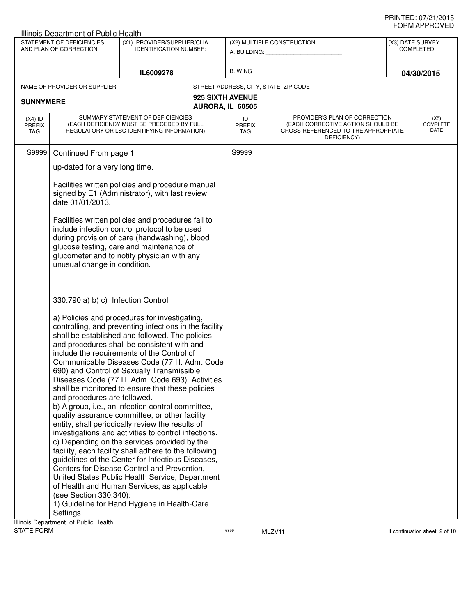|                                          | Illinois Department of Public Health                               |                                                                                                                                                                                                                                                                                                                                                                                                                                                                                                                                                                                                                                                                                                                                                                                                                                                                                                                                                                                                                                                   |                            |                                                                                                                          | ᇦᄖᄢᇧᆝᆝᇅᇦ៴ᄂᄖ                          |
|------------------------------------------|--------------------------------------------------------------------|---------------------------------------------------------------------------------------------------------------------------------------------------------------------------------------------------------------------------------------------------------------------------------------------------------------------------------------------------------------------------------------------------------------------------------------------------------------------------------------------------------------------------------------------------------------------------------------------------------------------------------------------------------------------------------------------------------------------------------------------------------------------------------------------------------------------------------------------------------------------------------------------------------------------------------------------------------------------------------------------------------------------------------------------------|----------------------------|--------------------------------------------------------------------------------------------------------------------------|--------------------------------------|
|                                          | STATEMENT OF DEFICIENCIES<br>AND PLAN OF CORRECTION                | (X1) PROVIDER/SUPPLIER/CLIA<br><b>IDENTIFICATION NUMBER:</b>                                                                                                                                                                                                                                                                                                                                                                                                                                                                                                                                                                                                                                                                                                                                                                                                                                                                                                                                                                                      |                            | (X2) MULTIPLE CONSTRUCTION                                                                                               | (X3) DATE SURVEY<br><b>COMPLETED</b> |
|                                          |                                                                    | IL6009278                                                                                                                                                                                                                                                                                                                                                                                                                                                                                                                                                                                                                                                                                                                                                                                                                                                                                                                                                                                                                                         |                            |                                                                                                                          | 04/30/2015                           |
|                                          | NAME OF PROVIDER OR SUPPLIER                                       |                                                                                                                                                                                                                                                                                                                                                                                                                                                                                                                                                                                                                                                                                                                                                                                                                                                                                                                                                                                                                                                   |                            | STREET ADDRESS, CITY, STATE, ZIP CODE                                                                                    |                                      |
| <b>SUNNYMERE</b>                         |                                                                    |                                                                                                                                                                                                                                                                                                                                                                                                                                                                                                                                                                                                                                                                                                                                                                                                                                                                                                                                                                                                                                                   | 925 SIXTH AVENUE           |                                                                                                                          |                                      |
|                                          |                                                                    |                                                                                                                                                                                                                                                                                                                                                                                                                                                                                                                                                                                                                                                                                                                                                                                                                                                                                                                                                                                                                                                   | AURORA, IL 60505           |                                                                                                                          |                                      |
| $(X4)$ ID<br><b>PREFIX</b><br><b>TAG</b> |                                                                    | SUMMARY STATEMENT OF DEFICIENCIES<br>(EACH DEFICIENCY MUST BE PRECEDED BY FULL<br>REGULATORY OR LSC IDENTIFYING INFORMATION)                                                                                                                                                                                                                                                                                                                                                                                                                                                                                                                                                                                                                                                                                                                                                                                                                                                                                                                      | ID<br><b>PREFIX</b><br>TAG | PROVIDER'S PLAN OF CORRECTION<br>(EACH CORRECTIVE ACTION SHOULD BE<br>CROSS-REFERENCED TO THE APPROPRIATE<br>DEFICIENCY) | (X5)<br><b>COMPLETE</b><br>DATE      |
| S9999                                    | Continued From page 1                                              |                                                                                                                                                                                                                                                                                                                                                                                                                                                                                                                                                                                                                                                                                                                                                                                                                                                                                                                                                                                                                                                   | S9999                      |                                                                                                                          |                                      |
|                                          | up-dated for a very long time.                                     |                                                                                                                                                                                                                                                                                                                                                                                                                                                                                                                                                                                                                                                                                                                                                                                                                                                                                                                                                                                                                                                   |                            |                                                                                                                          |                                      |
|                                          | date 01/01/2013.                                                   | Facilities written policies and procedure manual<br>signed by E1 (Administrator), with last review                                                                                                                                                                                                                                                                                                                                                                                                                                                                                                                                                                                                                                                                                                                                                                                                                                                                                                                                                |                            |                                                                                                                          |                                      |
|                                          | unusual change in condition.                                       | Facilities written policies and procedures fail to<br>include infection control protocol to be used<br>during provision of care (handwashing), blood<br>glucose testing, care and maintenance of<br>glucometer and to notify physician with any                                                                                                                                                                                                                                                                                                                                                                                                                                                                                                                                                                                                                                                                                                                                                                                                   |                            |                                                                                                                          |                                      |
|                                          | 330.790 a) b) c) Infection Control                                 |                                                                                                                                                                                                                                                                                                                                                                                                                                                                                                                                                                                                                                                                                                                                                                                                                                                                                                                                                                                                                                                   |                            |                                                                                                                          |                                      |
|                                          | and procedures are followed.<br>(see Section 330.340):<br>Settings | a) Policies and procedures for investigating,<br>controlling, and preventing infections in the facility<br>shall be established and followed. The policies<br>and procedures shall be consistent with and<br>include the requirements of the Control of<br>Communicable Diseases Code (77 III. Adm. Code<br>690) and Control of Sexually Transmissible<br>Diseases Code (77 III. Adm. Code 693). Activities<br>shall be monitored to ensure that these policies<br>b) A group, i.e., an infection control committee,<br>quality assurance committee, or other facility<br>entity, shall periodically review the results of<br>investigations and activities to control infections.<br>c) Depending on the services provided by the<br>facility, each facility shall adhere to the following<br>guidelines of the Center for Infectious Diseases,<br>Centers for Disease Control and Prevention,<br>United States Public Health Service, Department<br>of Health and Human Services, as applicable<br>1) Guideline for Hand Hygiene in Health-Care |                            |                                                                                                                          |                                      |
| <b>STATE FORM</b>                        | Illinois Department of Public Health                               |                                                                                                                                                                                                                                                                                                                                                                                                                                                                                                                                                                                                                                                                                                                                                                                                                                                                                                                                                                                                                                                   | 6899                       | MLZV11                                                                                                                   | If continuation sheet 2 of 10        |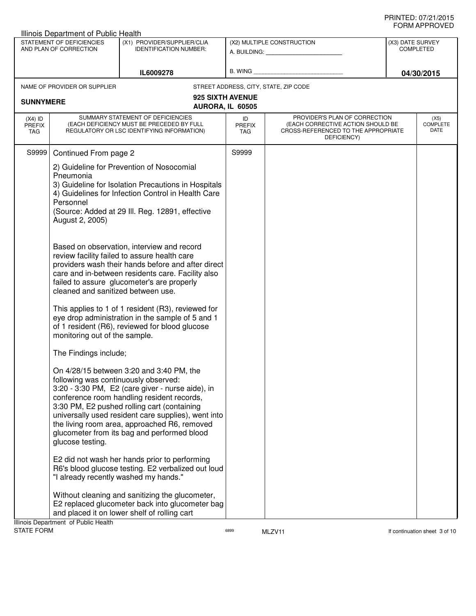|                                   | Illinois Department of Public Health                                                                             |                                                                                                                                                                                                                                                                                                                                                                                                                                                                                                                                                                                                                              |                            |                                                                                                                          |                               | שם עשורו ותואויט                |
|-----------------------------------|------------------------------------------------------------------------------------------------------------------|------------------------------------------------------------------------------------------------------------------------------------------------------------------------------------------------------------------------------------------------------------------------------------------------------------------------------------------------------------------------------------------------------------------------------------------------------------------------------------------------------------------------------------------------------------------------------------------------------------------------------|----------------------------|--------------------------------------------------------------------------------------------------------------------------|-------------------------------|---------------------------------|
|                                   | STATEMENT OF DEFICIENCIES<br>AND PLAN OF CORRECTION                                                              | (X1) PROVIDER/SUPPLIER/CLIA<br><b>IDENTIFICATION NUMBER:</b>                                                                                                                                                                                                                                                                                                                                                                                                                                                                                                                                                                 |                            | (X2) MULTIPLE CONSTRUCTION                                                                                               | (X3) DATE SURVEY<br>COMPLETED |                                 |
|                                   |                                                                                                                  | IL6009278                                                                                                                                                                                                                                                                                                                                                                                                                                                                                                                                                                                                                    |                            | B. WING <b>Example 2008</b>                                                                                              |                               | 04/30/2015                      |
|                                   | NAME OF PROVIDER OR SUPPLIER                                                                                     |                                                                                                                                                                                                                                                                                                                                                                                                                                                                                                                                                                                                                              |                            | STREET ADDRESS, CITY, STATE, ZIP CODE                                                                                    |                               |                                 |
| <b>SUNNYMERE</b>                  |                                                                                                                  | 925 SIXTH AVENUE<br>AURORA, IL 60505                                                                                                                                                                                                                                                                                                                                                                                                                                                                                                                                                                                         |                            |                                                                                                                          |                               |                                 |
| $(X4)$ ID<br><b>PREFIX</b><br>TAG |                                                                                                                  | SUMMARY STATEMENT OF DEFICIENCIES<br>(EACH DEFICIENCY MUST BE PRECEDED BY FULL<br>REGULATORY OR LSC IDENTIFYING INFORMATION)                                                                                                                                                                                                                                                                                                                                                                                                                                                                                                 | ID<br><b>PREFIX</b><br>TAG | PROVIDER'S PLAN OF CORRECTION<br>(EACH CORRECTIVE ACTION SHOULD BE<br>CROSS-REFERENCED TO THE APPROPRIATE<br>DEFICIENCY) |                               | (X5)<br><b>COMPLETE</b><br>DATE |
| S9999                             | Continued From page 2                                                                                            |                                                                                                                                                                                                                                                                                                                                                                                                                                                                                                                                                                                                                              | S9999                      |                                                                                                                          |                               |                                 |
|                                   | Pneumonia<br>Personnel<br>August 2, 2005)<br>cleaned and sanitized between use.<br>monitoring out of the sample. | 2) Guideline for Prevention of Nosocomial<br>3) Guideline for Isolation Precautions in Hospitals<br>4) Guidelines for Infection Control in Health Care<br>(Source: Added at 29 III. Reg. 12891, effective<br>Based on observation, interview and record<br>review facility failed to assure health care<br>providers wash their hands before and after direct<br>care and in-between residents care. Facility also<br>failed to assure glucometer's are properly<br>This applies to 1 of 1 resident (R3), reviewed for<br>eye drop administration in the sample of 5 and 1<br>of 1 resident (R6), reviewed for blood glucose |                            |                                                                                                                          |                               |                                 |
|                                   | The Findings include;                                                                                            |                                                                                                                                                                                                                                                                                                                                                                                                                                                                                                                                                                                                                              |                            |                                                                                                                          |                               |                                 |
|                                   | following was continuously observed:<br>glucose testing.                                                         | On 4/28/15 between 3:20 and 3:40 PM, the<br>3:20 - 3:30 PM, E2 (care giver - nurse aide), in<br>conference room handling resident records,<br>3:30 PM, E2 pushed rolling cart (containing<br>universally used resident care supplies), went into<br>the living room area, approached R6, removed<br>glucometer from its bag and performed blood                                                                                                                                                                                                                                                                              |                            |                                                                                                                          |                               |                                 |
|                                   | "I already recently washed my hands."                                                                            | E2 did not wash her hands prior to performing<br>R6's blood glucose testing. E2 verbalized out loud                                                                                                                                                                                                                                                                                                                                                                                                                                                                                                                          |                            |                                                                                                                          |                               |                                 |
|                                   | Illinois Department of Public Health                                                                             | Without cleaning and sanitizing the glucometer,<br>E2 replaced glucometer back into glucometer bag<br>and placed it on lower shelf of rolling cart                                                                                                                                                                                                                                                                                                                                                                                                                                                                           |                            |                                                                                                                          |                               |                                 |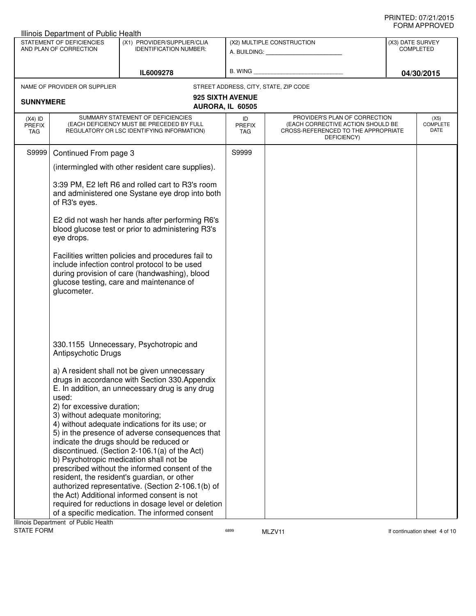|                                                                                                                     | Illinois Department of Public Health                                                                                                                                                                                                                                                                                                                                                                                                                                                                                                                                                                                                                                                                                                                                                                                                                   |                                                                                                                              |                                      |                                                                                                                          |  | ◡੶┉灬┌┅ ・・・◡ ▾ 느◡                |
|---------------------------------------------------------------------------------------------------------------------|--------------------------------------------------------------------------------------------------------------------------------------------------------------------------------------------------------------------------------------------------------------------------------------------------------------------------------------------------------------------------------------------------------------------------------------------------------------------------------------------------------------------------------------------------------------------------------------------------------------------------------------------------------------------------------------------------------------------------------------------------------------------------------------------------------------------------------------------------------|------------------------------------------------------------------------------------------------------------------------------|--------------------------------------|--------------------------------------------------------------------------------------------------------------------------|--|---------------------------------|
| STATEMENT OF DEFICIENCIES<br>(X1) PROVIDER/SUPPLIER/CLIA<br>AND PLAN OF CORRECTION<br><b>IDENTIFICATION NUMBER:</b> |                                                                                                                                                                                                                                                                                                                                                                                                                                                                                                                                                                                                                                                                                                                                                                                                                                                        | (X2) MULTIPLE CONSTRUCTION<br>A. BUILDING: <b>A. BUILDING:</b>                                                               |                                      | (X3) DATE SURVEY<br>COMPLETED                                                                                            |  |                                 |
|                                                                                                                     |                                                                                                                                                                                                                                                                                                                                                                                                                                                                                                                                                                                                                                                                                                                                                                                                                                                        | IL6009278                                                                                                                    |                                      | B. WING <b>Example 2008</b>                                                                                              |  | 04/30/2015                      |
|                                                                                                                     | NAME OF PROVIDER OR SUPPLIER                                                                                                                                                                                                                                                                                                                                                                                                                                                                                                                                                                                                                                                                                                                                                                                                                           |                                                                                                                              |                                      | STREET ADDRESS, CITY, STATE, ZIP CODE                                                                                    |  |                                 |
| <b>SUNNYMERE</b>                                                                                                    |                                                                                                                                                                                                                                                                                                                                                                                                                                                                                                                                                                                                                                                                                                                                                                                                                                                        |                                                                                                                              | 925 SIXTH AVENUE<br>AURORA, IL 60505 |                                                                                                                          |  |                                 |
| $(X4)$ ID<br><b>PREFIX</b><br>TAG                                                                                   |                                                                                                                                                                                                                                                                                                                                                                                                                                                                                                                                                                                                                                                                                                                                                                                                                                                        | SUMMARY STATEMENT OF DEFICIENCIES<br>(EACH DEFICIENCY MUST BE PRECEDED BY FULL<br>REGULATORY OR LSC IDENTIFYING INFORMATION) | ID<br><b>PREFIX</b><br><b>TAG</b>    | PROVIDER'S PLAN OF CORRECTION<br>(EACH CORRECTIVE ACTION SHOULD BE<br>CROSS-REFERENCED TO THE APPROPRIATE<br>DEFICIENCY) |  | (X5)<br><b>COMPLETE</b><br>DATE |
| S9999                                                                                                               | Continued From page 3                                                                                                                                                                                                                                                                                                                                                                                                                                                                                                                                                                                                                                                                                                                                                                                                                                  |                                                                                                                              | S9999                                |                                                                                                                          |  |                                 |
|                                                                                                                     |                                                                                                                                                                                                                                                                                                                                                                                                                                                                                                                                                                                                                                                                                                                                                                                                                                                        | (intermingled with other resident care supplies).                                                                            |                                      |                                                                                                                          |  |                                 |
|                                                                                                                     | of R3's eyes.                                                                                                                                                                                                                                                                                                                                                                                                                                                                                                                                                                                                                                                                                                                                                                                                                                          | 3:39 PM, E2 left R6 and rolled cart to R3's room<br>and administered one Systane eye drop into both                          |                                      |                                                                                                                          |  |                                 |
|                                                                                                                     | E2 did not wash her hands after performing R6's<br>blood glucose test or prior to administering R3's<br>eye drops.                                                                                                                                                                                                                                                                                                                                                                                                                                                                                                                                                                                                                                                                                                                                     |                                                                                                                              |                                      |                                                                                                                          |  |                                 |
|                                                                                                                     | Facilities written policies and procedures fail to<br>include infection control protocol to be used<br>during provision of care (handwashing), blood<br>glucose testing, care and maintenance of<br>glucometer.                                                                                                                                                                                                                                                                                                                                                                                                                                                                                                                                                                                                                                        |                                                                                                                              |                                      |                                                                                                                          |  |                                 |
| Ilinois Department of Public Health                                                                                 | 330.1155 Unnecessary, Psychotropic and<br>Antipsychotic Drugs<br>a) A resident shall not be given unnecessary<br>drugs in accordance with Section 330.Appendix<br>E. In addition, an unnecessary drug is any drug<br>used:<br>2) for excessive duration;<br>3) without adequate monitoring;<br>4) without adequate indications for its use; or<br>5) in the presence of adverse consequences that<br>indicate the drugs should be reduced or<br>discontinued. (Section 2-106.1(a) of the Act)<br>b) Psychotropic medication shall not be<br>prescribed without the informed consent of the<br>resident, the resident's guardian, or other<br>authorized representative. (Section 2-106.1(b) of<br>the Act) Additional informed consent is not<br>required for reductions in dosage level or deletion<br>of a specific medication. The informed consent |                                                                                                                              |                                      |                                                                                                                          |  |                                 |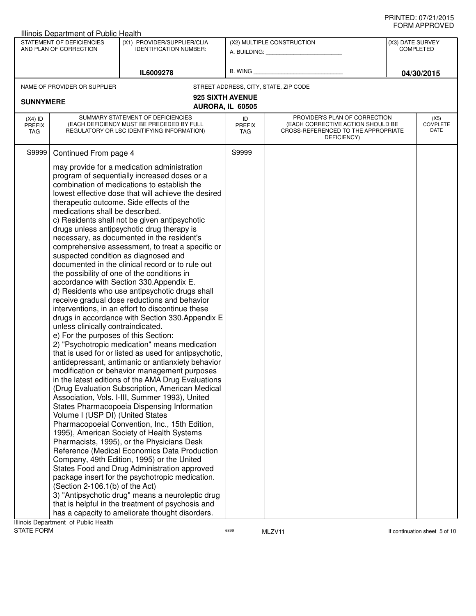| uvini i Ilvel<br>Illinois Department of Public Health                                                                                                                                                                      |                  |  |  |  |  |
|----------------------------------------------------------------------------------------------------------------------------------------------------------------------------------------------------------------------------|------------------|--|--|--|--|
| STATEMENT OF DEFICIENCIES<br>(X1) PROVIDER/SUPPLIER/CLIA<br>(X2) MULTIPLE CONSTRUCTION                                                                                                                                     | (X3) DATE SURVEY |  |  |  |  |
| AND PLAN OF CORRECTION<br><b>IDENTIFICATION NUMBER:</b><br>A. BUILDING: A. BUILDING:                                                                                                                                       | <b>COMPLETED</b> |  |  |  |  |
|                                                                                                                                                                                                                            |                  |  |  |  |  |
| B. WING <b>Example 2008</b><br>IL6009278                                                                                                                                                                                   | 04/30/2015       |  |  |  |  |
| NAME OF PROVIDER OR SUPPLIER<br>STREET ADDRESS, CITY, STATE, ZIP CODE                                                                                                                                                      |                  |  |  |  |  |
| 925 SIXTH AVENUE                                                                                                                                                                                                           |                  |  |  |  |  |
| <b>SUNNYMERE</b><br>AURORA, IL 60505                                                                                                                                                                                       |                  |  |  |  |  |
| SUMMARY STATEMENT OF DEFICIENCIES<br>PROVIDER'S PLAN OF CORRECTION<br>$(X4)$ ID<br>ID                                                                                                                                      | (X5)             |  |  |  |  |
| (EACH DEFICIENCY MUST BE PRECEDED BY FULL<br>(EACH CORRECTIVE ACTION SHOULD BE<br><b>PREFIX</b><br><b>PREFIX</b><br>REGULATORY OR LSC IDENTIFYING INFORMATION)<br>CROSS-REFERENCED TO THE APPROPRIATE<br>TAG<br><b>TAG</b> | COMPLETE<br>DATE |  |  |  |  |
| DEFICIENCY)                                                                                                                                                                                                                |                  |  |  |  |  |
| S9999<br>S9999<br>Continued From page 4                                                                                                                                                                                    |                  |  |  |  |  |
| may provide for a medication administration                                                                                                                                                                                |                  |  |  |  |  |
| program of sequentially increased doses or a                                                                                                                                                                               |                  |  |  |  |  |
| combination of medications to establish the                                                                                                                                                                                |                  |  |  |  |  |
| lowest effective dose that will achieve the desired                                                                                                                                                                        |                  |  |  |  |  |
| therapeutic outcome. Side effects of the                                                                                                                                                                                   |                  |  |  |  |  |
| medications shall be described.                                                                                                                                                                                            |                  |  |  |  |  |
| c) Residents shall not be given antipsychotic<br>drugs unless antipsychotic drug therapy is                                                                                                                                |                  |  |  |  |  |
| necessary, as documented in the resident's                                                                                                                                                                                 |                  |  |  |  |  |
| comprehensive assessment, to treat a specific or                                                                                                                                                                           |                  |  |  |  |  |
| suspected condition as diagnosed and                                                                                                                                                                                       |                  |  |  |  |  |
| documented in the clinical record or to rule out                                                                                                                                                                           |                  |  |  |  |  |
| the possibility of one of the conditions in                                                                                                                                                                                |                  |  |  |  |  |
| accordance with Section 330 Appendix E.                                                                                                                                                                                    |                  |  |  |  |  |
| d) Residents who use antipsychotic drugs shall                                                                                                                                                                             |                  |  |  |  |  |
| receive gradual dose reductions and behavior<br>interventions, in an effort to discontinue these                                                                                                                           |                  |  |  |  |  |
| drugs in accordance with Section 330. Appendix E                                                                                                                                                                           |                  |  |  |  |  |
| unless clinically contraindicated.                                                                                                                                                                                         |                  |  |  |  |  |
| e) For the purposes of this Section:                                                                                                                                                                                       |                  |  |  |  |  |
| 2) "Psychotropic medication" means medication                                                                                                                                                                              |                  |  |  |  |  |
| that is used for or listed as used for antipsychotic,                                                                                                                                                                      |                  |  |  |  |  |
| antidepressant, antimanic or antianxiety behavior                                                                                                                                                                          |                  |  |  |  |  |
| modification or behavior management purposes<br>in the latest editions of the AMA Drug Evaluations                                                                                                                         |                  |  |  |  |  |
| (Drug Evaluation Subscription, American Medical                                                                                                                                                                            |                  |  |  |  |  |
| Association, Vols. I-III, Summer 1993), United                                                                                                                                                                             |                  |  |  |  |  |
| States Pharmacopoeia Dispensing Information                                                                                                                                                                                |                  |  |  |  |  |
| Volume I (USP DI) (United States                                                                                                                                                                                           |                  |  |  |  |  |
| Pharmacopoeial Convention, Inc., 15th Edition,                                                                                                                                                                             |                  |  |  |  |  |
| 1995), American Society of Health Systems                                                                                                                                                                                  |                  |  |  |  |  |
| Pharmacists, 1995), or the Physicians Desk                                                                                                                                                                                 |                  |  |  |  |  |
| Reference (Medical Economics Data Production<br>Company, 49th Edition, 1995) or the United                                                                                                                                 |                  |  |  |  |  |
| States Food and Drug Administration approved                                                                                                                                                                               |                  |  |  |  |  |
| package insert for the psychotropic medication.                                                                                                                                                                            |                  |  |  |  |  |
| (Section 2-106.1(b) of the Act)                                                                                                                                                                                            |                  |  |  |  |  |
| 3) "Antipsychotic drug" means a neuroleptic drug                                                                                                                                                                           |                  |  |  |  |  |
| that is helpful in the treatment of psychosis and                                                                                                                                                                          |                  |  |  |  |  |
| has a capacity to ameliorate thought disorders.<br>Ilinois Department of Public Health                                                                                                                                     |                  |  |  |  |  |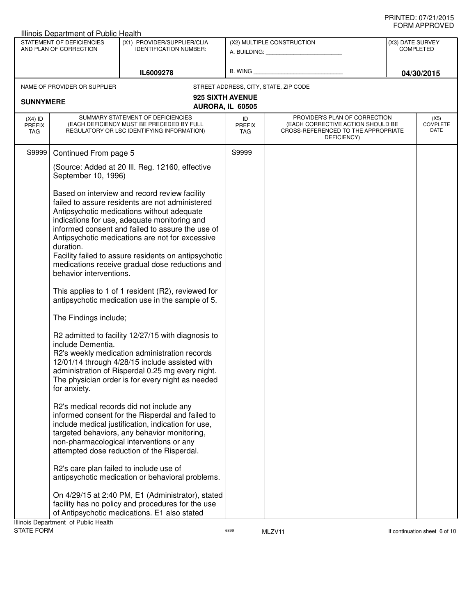|                                                     | Illinois Department of Public Health           |                                                                                                                                                                                                                                                                                                                                                                                                                                                                                                                                                                                                                                                                                                                                                                                                                                                                                                                                                                                                                                                                                                                                                                                                                                                                                                                                                                                                 |                                             |                                                                                                                          |                                      |                                 |  |  |
|-----------------------------------------------------|------------------------------------------------|-------------------------------------------------------------------------------------------------------------------------------------------------------------------------------------------------------------------------------------------------------------------------------------------------------------------------------------------------------------------------------------------------------------------------------------------------------------------------------------------------------------------------------------------------------------------------------------------------------------------------------------------------------------------------------------------------------------------------------------------------------------------------------------------------------------------------------------------------------------------------------------------------------------------------------------------------------------------------------------------------------------------------------------------------------------------------------------------------------------------------------------------------------------------------------------------------------------------------------------------------------------------------------------------------------------------------------------------------------------------------------------------------|---------------------------------------------|--------------------------------------------------------------------------------------------------------------------------|--------------------------------------|---------------------------------|--|--|
| STATEMENT OF DEFICIENCIES<br>AND PLAN OF CORRECTION |                                                | (X1) PROVIDER/SUPPLIER/CLIA<br><b>IDENTIFICATION NUMBER:</b>                                                                                                                                                                                                                                                                                                                                                                                                                                                                                                                                                                                                                                                                                                                                                                                                                                                                                                                                                                                                                                                                                                                                                                                                                                                                                                                                    |                                             | (X2) MULTIPLE CONSTRUCTION                                                                                               | (X3) DATE SURVEY<br><b>COMPLETED</b> |                                 |  |  |
|                                                     |                                                | IL6009278                                                                                                                                                                                                                                                                                                                                                                                                                                                                                                                                                                                                                                                                                                                                                                                                                                                                                                                                                                                                                                                                                                                                                                                                                                                                                                                                                                                       | B. WING                                     |                                                                                                                          |                                      | 04/30/2015                      |  |  |
|                                                     | NAME OF PROVIDER OR SUPPLIER                   |                                                                                                                                                                                                                                                                                                                                                                                                                                                                                                                                                                                                                                                                                                                                                                                                                                                                                                                                                                                                                                                                                                                                                                                                                                                                                                                                                                                                 |                                             | STREET ADDRESS, CITY, STATE, ZIP CODE                                                                                    |                                      |                                 |  |  |
| <b>SUNNYMERE</b>                                    |                                                |                                                                                                                                                                                                                                                                                                                                                                                                                                                                                                                                                                                                                                                                                                                                                                                                                                                                                                                                                                                                                                                                                                                                                                                                                                                                                                                                                                                                 | <b>925 SIXTH AVENUE</b><br>AURORA, IL 60505 |                                                                                                                          |                                      |                                 |  |  |
| $(X4)$ ID<br><b>PREFIX</b><br>TAG                   |                                                | SUMMARY STATEMENT OF DEFICIENCIES<br>(EACH DEFICIENCY MUST BE PRECEDED BY FULL                                                                                                                                                                                                                                                                                                                                                                                                                                                                                                                                                                                                                                                                                                                                                                                                                                                                                                                                                                                                                                                                                                                                                                                                                                                                                                                  | ID<br><b>PREFIX</b><br><b>TAG</b>           | PROVIDER'S PLAN OF CORRECTION<br>(EACH CORRECTIVE ACTION SHOULD BE<br>CROSS-REFERENCED TO THE APPROPRIATE<br>DEFICIENCY) |                                      | (X5)<br><b>COMPLETE</b><br>DATE |  |  |
| S9999                                               |                                                |                                                                                                                                                                                                                                                                                                                                                                                                                                                                                                                                                                                                                                                                                                                                                                                                                                                                                                                                                                                                                                                                                                                                                                                                                                                                                                                                                                                                 | S9999                                       |                                                                                                                          |                                      |                                 |  |  |
|                                                     |                                                |                                                                                                                                                                                                                                                                                                                                                                                                                                                                                                                                                                                                                                                                                                                                                                                                                                                                                                                                                                                                                                                                                                                                                                                                                                                                                                                                                                                                 |                                             |                                                                                                                          |                                      |                                 |  |  |
|                                                     | duration.<br>include Dementia.<br>for anxiety. | REGULATORY OR LSC IDENTIFYING INFORMATION)<br>Continued From page 5<br>(Source: Added at 20 III. Reg. 12160, effective<br>September 10, 1996)<br>Based on interview and record review facility<br>failed to assure residents are not administered<br>Antipsychotic medications without adequate<br>indications for use, adequate monitoring and<br>informed consent and failed to assure the use of<br>Antipsychotic medications are not for excessive<br>Facility failed to assure residents on antipsychotic<br>medications receive gradual dose reductions and<br>behavior interventions.<br>This applies to 1 of 1 resident (R2), reviewed for<br>antipsychotic medication use in the sample of 5.<br>The Findings include;<br>R2 admitted to facility 12/27/15 with diagnosis to<br>R2's weekly medication administration records<br>12/01/14 through 4/28/15 include assisted with<br>administration of Risperdal 0.25 mg every night.<br>The physician order is for every night as needed<br>R2's medical records did not include any<br>informed consent for the Risperdal and failed to<br>include medical justification, indication for use,<br>targeted behaviors, any behavior monitoring,<br>non-pharmacological interventions or any<br>attempted dose reduction of the Risperdal.<br>R2's care plan failed to include use of<br>antipsychotic medication or behavioral problems. |                                             |                                                                                                                          |                                      |                                 |  |  |
|                                                     |                                                | On 4/29/15 at 2:40 PM, E1 (Administrator), stated                                                                                                                                                                                                                                                                                                                                                                                                                                                                                                                                                                                                                                                                                                                                                                                                                                                                                                                                                                                                                                                                                                                                                                                                                                                                                                                                               |                                             |                                                                                                                          |                                      |                                 |  |  |
|                                                     |                                                | facility has no policy and procedures for the use<br>of Antipsychotic medications. E1 also stated                                                                                                                                                                                                                                                                                                                                                                                                                                                                                                                                                                                                                                                                                                                                                                                                                                                                                                                                                                                                                                                                                                                                                                                                                                                                                               |                                             |                                                                                                                          |                                      |                                 |  |  |
|                                                     | Illinois Department of Public Health           |                                                                                                                                                                                                                                                                                                                                                                                                                                                                                                                                                                                                                                                                                                                                                                                                                                                                                                                                                                                                                                                                                                                                                                                                                                                                                                                                                                                                 |                                             |                                                                                                                          |                                      |                                 |  |  |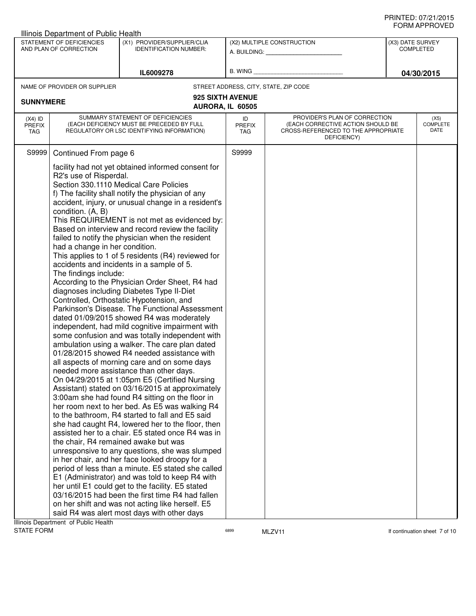| Illinois Department of Public Health                |                                                                                                                                                                                        |                                                                                                                                                                                                                                                                                                                                                                                                                                                                                                                                                                                                                                                                                                                                                                                                                                                                                                                                                                                                                                                                                                                                                                                                                                                                                                                                                                                                                                                                                                                                                                                                                                                                                                                                                                                                                  |                            |                                                                                                                          |                  | ᅴᄖᄞᇊᆝᆝᇅ៴ᄂ                |
|-----------------------------------------------------|----------------------------------------------------------------------------------------------------------------------------------------------------------------------------------------|------------------------------------------------------------------------------------------------------------------------------------------------------------------------------------------------------------------------------------------------------------------------------------------------------------------------------------------------------------------------------------------------------------------------------------------------------------------------------------------------------------------------------------------------------------------------------------------------------------------------------------------------------------------------------------------------------------------------------------------------------------------------------------------------------------------------------------------------------------------------------------------------------------------------------------------------------------------------------------------------------------------------------------------------------------------------------------------------------------------------------------------------------------------------------------------------------------------------------------------------------------------------------------------------------------------------------------------------------------------------------------------------------------------------------------------------------------------------------------------------------------------------------------------------------------------------------------------------------------------------------------------------------------------------------------------------------------------------------------------------------------------------------------------------------------------|----------------------------|--------------------------------------------------------------------------------------------------------------------------|------------------|--------------------------|
| STATEMENT OF DEFICIENCIES<br>AND PLAN OF CORRECTION |                                                                                                                                                                                        | (X1) PROVIDER/SUPPLIER/CLIA<br><b>IDENTIFICATION NUMBER:</b>                                                                                                                                                                                                                                                                                                                                                                                                                                                                                                                                                                                                                                                                                                                                                                                                                                                                                                                                                                                                                                                                                                                                                                                                                                                                                                                                                                                                                                                                                                                                                                                                                                                                                                                                                     |                            | (X2) MULTIPLE CONSTRUCTION<br>A. BUILDING: A. BUILDING:                                                                  | (X3) DATE SURVEY | <b>COMPLETED</b>         |
|                                                     |                                                                                                                                                                                        | IL6009278                                                                                                                                                                                                                                                                                                                                                                                                                                                                                                                                                                                                                                                                                                                                                                                                                                                                                                                                                                                                                                                                                                                                                                                                                                                                                                                                                                                                                                                                                                                                                                                                                                                                                                                                                                                                        |                            | B. WING <b>Example 2008</b>                                                                                              |                  | 04/30/2015               |
|                                                     | NAME OF PROVIDER OR SUPPLIER                                                                                                                                                           |                                                                                                                                                                                                                                                                                                                                                                                                                                                                                                                                                                                                                                                                                                                                                                                                                                                                                                                                                                                                                                                                                                                                                                                                                                                                                                                                                                                                                                                                                                                                                                                                                                                                                                                                                                                                                  |                            | STREET ADDRESS, CITY, STATE, ZIP CODE                                                                                    |                  |                          |
| <b>SUNNYMERE</b>                                    |                                                                                                                                                                                        | 925 SIXTH AVENUE<br>AURORA, IL 60505                                                                                                                                                                                                                                                                                                                                                                                                                                                                                                                                                                                                                                                                                                                                                                                                                                                                                                                                                                                                                                                                                                                                                                                                                                                                                                                                                                                                                                                                                                                                                                                                                                                                                                                                                                             |                            |                                                                                                                          |                  |                          |
| $(X4)$ ID<br><b>PREFIX</b><br>TAG                   |                                                                                                                                                                                        | SUMMARY STATEMENT OF DEFICIENCIES<br>(EACH DEFICIENCY MUST BE PRECEDED BY FULL<br>REGULATORY OR LSC IDENTIFYING INFORMATION)                                                                                                                                                                                                                                                                                                                                                                                                                                                                                                                                                                                                                                                                                                                                                                                                                                                                                                                                                                                                                                                                                                                                                                                                                                                                                                                                                                                                                                                                                                                                                                                                                                                                                     | ID<br><b>PREFIX</b><br>TAG | PROVIDER'S PLAN OF CORRECTION<br>(EACH CORRECTIVE ACTION SHOULD BE<br>CROSS-REFERENCED TO THE APPROPRIATE<br>DEFICIENCY) |                  | (X5)<br>COMPLETE<br>DATE |
| S9999                                               | Continued From page 6                                                                                                                                                                  |                                                                                                                                                                                                                                                                                                                                                                                                                                                                                                                                                                                                                                                                                                                                                                                                                                                                                                                                                                                                                                                                                                                                                                                                                                                                                                                                                                                                                                                                                                                                                                                                                                                                                                                                                                                                                  | S9999                      |                                                                                                                          |                  |                          |
|                                                     | R2's use of Risperdal.<br>condition. (A, B)<br>had a change in her condition.<br>The findings include:<br>the chair, R4 remained awake but was<br>Illinois Department of Public Health | facility had not yet obtained informed consent for<br>Section 330.1110 Medical Care Policies<br>f) The facility shall notify the physician of any<br>accident, injury, or unusual change in a resident's<br>This REQUIREMENT is not met as evidenced by:<br>Based on interview and record review the facility<br>failed to notify the physician when the resident<br>This applies to 1 of 5 residents (R4) reviewed for<br>accidents and incidents in a sample of 5.<br>According to the Physician Order Sheet, R4 had<br>diagnoses including Diabetes Type II-Diet<br>Controlled, Orthostatic Hypotension, and<br>Parkinson's Disease. The Functional Assessment<br>dated 01/09/2015 showed R4 was moderately<br>independent, had mild cognitive impairment with<br>some confusion and was totally independent with<br>ambulation using a walker. The care plan dated<br>01/28/2015 showed R4 needed assistance with<br>all aspects of morning care and on some days<br>needed more assistance than other days.<br>On 04/29/2015 at 1:05pm E5 (Certified Nursing<br>Assistant) stated on 03/16/2015 at approximately<br>3:00am she had found R4 sitting on the floor in<br>her room next to her bed. As E5 was walking R4<br>to the bathroom, R4 started to fall and E5 said<br>she had caught R4, lowered her to the floor, then<br>assisted her to a chair. E5 stated once R4 was in<br>unresponsive to any questions, she was slumped<br>in her chair, and her face looked droopy for a<br>period of less than a minute. E5 stated she called<br>E1 (Administrator) and was told to keep R4 with<br>her until E1 could get to the facility. E5 stated<br>03/16/2015 had been the first time R4 had fallen<br>on her shift and was not acting like herself. E5<br>said R4 was alert most days with other days |                            |                                                                                                                          |                  |                          |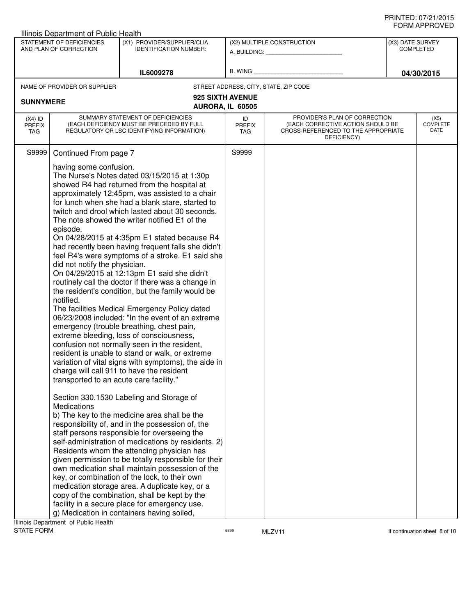| ᅴᄖᄞᇊᆝᆝᇅ៴ᄂᄂ<br>Illinois Department of Public Health                                                                  |                                                                                                                                                                                                                                                 |                                                                                                                                                                                                                                                                                                                                                                                                                                                                                                                                                                                                                                                                                                                                                                                                                                                                                                                                                                                                                                                                                                                                                                                                                                                                                                                                                                                                                                                |                                      |                                                                                                                          |  |                                 |
|---------------------------------------------------------------------------------------------------------------------|-------------------------------------------------------------------------------------------------------------------------------------------------------------------------------------------------------------------------------------------------|------------------------------------------------------------------------------------------------------------------------------------------------------------------------------------------------------------------------------------------------------------------------------------------------------------------------------------------------------------------------------------------------------------------------------------------------------------------------------------------------------------------------------------------------------------------------------------------------------------------------------------------------------------------------------------------------------------------------------------------------------------------------------------------------------------------------------------------------------------------------------------------------------------------------------------------------------------------------------------------------------------------------------------------------------------------------------------------------------------------------------------------------------------------------------------------------------------------------------------------------------------------------------------------------------------------------------------------------------------------------------------------------------------------------------------------------|--------------------------------------|--------------------------------------------------------------------------------------------------------------------------|--|---------------------------------|
| STATEMENT OF DEFICIENCIES<br>(X1) PROVIDER/SUPPLIER/CLIA<br>AND PLAN OF CORRECTION<br><b>IDENTIFICATION NUMBER:</b> |                                                                                                                                                                                                                                                 |                                                                                                                                                                                                                                                                                                                                                                                                                                                                                                                                                                                                                                                                                                                                                                                                                                                                                                                                                                                                                                                                                                                                                                                                                                                                                                                                                                                                                                                | (X2) MULTIPLE CONSTRUCTION           | (X3) DATE SURVEY<br><b>COMPLETED</b>                                                                                     |  |                                 |
|                                                                                                                     |                                                                                                                                                                                                                                                 | IL6009278                                                                                                                                                                                                                                                                                                                                                                                                                                                                                                                                                                                                                                                                                                                                                                                                                                                                                                                                                                                                                                                                                                                                                                                                                                                                                                                                                                                                                                      |                                      | B. WING <b>Example 2008</b>                                                                                              |  | 04/30/2015                      |
|                                                                                                                     | NAME OF PROVIDER OR SUPPLIER                                                                                                                                                                                                                    |                                                                                                                                                                                                                                                                                                                                                                                                                                                                                                                                                                                                                                                                                                                                                                                                                                                                                                                                                                                                                                                                                                                                                                                                                                                                                                                                                                                                                                                |                                      | STREET ADDRESS, CITY, STATE, ZIP CODE                                                                                    |  |                                 |
| <b>SUNNYMERE</b>                                                                                                    |                                                                                                                                                                                                                                                 |                                                                                                                                                                                                                                                                                                                                                                                                                                                                                                                                                                                                                                                                                                                                                                                                                                                                                                                                                                                                                                                                                                                                                                                                                                                                                                                                                                                                                                                | 925 SIXTH AVENUE<br>AURORA, IL 60505 |                                                                                                                          |  |                                 |
| $(X4)$ ID<br><b>PREFIX</b><br>TAG                                                                                   |                                                                                                                                                                                                                                                 | SUMMARY STATEMENT OF DEFICIENCIES<br>(EACH DEFICIENCY MUST BE PRECEDED BY FULL<br>REGULATORY OR LSC IDENTIFYING INFORMATION)                                                                                                                                                                                                                                                                                                                                                                                                                                                                                                                                                                                                                                                                                                                                                                                                                                                                                                                                                                                                                                                                                                                                                                                                                                                                                                                   | ID<br><b>PREFIX</b><br>TAG           | PROVIDER'S PLAN OF CORRECTION<br>(EACH CORRECTIVE ACTION SHOULD BE<br>CROSS-REFERENCED TO THE APPROPRIATE<br>DEFICIENCY) |  | (X5)<br><b>COMPLETE</b><br>DATE |
| S9999                                                                                                               | Continued From page 7<br>having some confusion.<br>episode.<br>did not notify the physician.<br>notified.<br>transported to an acute care facility."<br>Medications                                                                             | The Nurse's Notes dated 03/15/2015 at 1:30p<br>showed R4 had returned from the hospital at<br>approximately 12:45pm, was assisted to a chair<br>for lunch when she had a blank stare, started to<br>twitch and drool which lasted about 30 seconds.<br>The note showed the writer notified E1 of the<br>On 04/28/2015 at 4:35pm E1 stated because R4<br>had recently been having frequent falls she didn't<br>feel R4's were symptoms of a stroke. E1 said she<br>On 04/29/2015 at 12:13pm E1 said she didn't<br>routinely call the doctor if there was a change in<br>the resident's condition, but the family would be<br>The facilities Medical Emergency Policy dated<br>06/23/2008 included: "In the event of an extreme<br>emergency (trouble breathing, chest pain,<br>extreme bleeding, loss of consciousness,<br>confusion not normally seen in the resident,<br>resident is unable to stand or walk, or extreme<br>variation of vital signs with symptoms), the aide in<br>charge will call 911 to have the resident<br>Section 330.1530 Labeling and Storage of<br>b) The key to the medicine area shall be the<br>responsibility of, and in the possession of, the<br>staff persons responsible for overseeing the<br>self-administration of medications by residents. 2)<br>Residents whom the attending physician has<br>given permission to be totally responsible for their<br>own medication shall maintain possession of the | S9999                                |                                                                                                                          |  |                                 |
|                                                                                                                     | key, or combination of the lock, to their own<br>medication storage area. A duplicate key, or a<br>copy of the combination, shall be kept by the<br>facility in a secure place for emergency use.<br>g) Medication in containers having soiled, |                                                                                                                                                                                                                                                                                                                                                                                                                                                                                                                                                                                                                                                                                                                                                                                                                                                                                                                                                                                                                                                                                                                                                                                                                                                                                                                                                                                                                                                |                                      |                                                                                                                          |  |                                 |

Illinois Department of Public Health<br>STATE FORM

 $5899$  MLZV11 MLZV11 and the state of the matrice of the matrice of the matrice of the matrice of the matrice of the matrice of the matrice of the matrice of the matrice of the matrice of the matrice of the matrice of the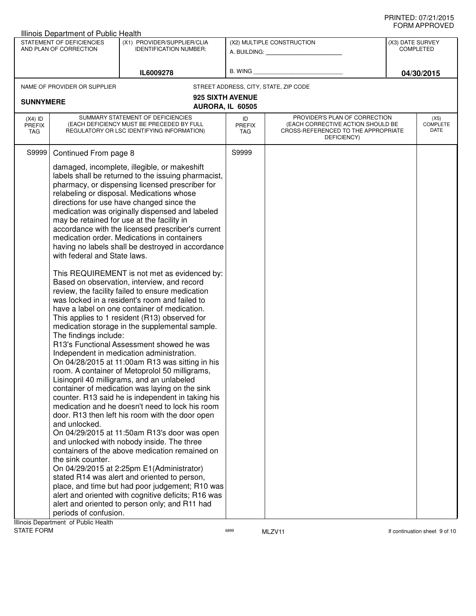| STATEMENT OF DEFICIENCIES<br>(X1) PROVIDER/SUPPLIER/CLIA<br>(X2) MULTIPLE CONSTRUCTION<br>(X3) DATE SURVEY<br>AND PLAN OF CORRECTION<br><b>IDENTIFICATION NUMBER:</b><br><b>COMPLETED</b><br>A. BUILDING: A. BUILDING:<br>B. WING<br>IL6009278<br>04/30/2015<br>STREET ADDRESS, CITY, STATE, ZIP CODE<br>NAME OF PROVIDER OR SUPPLIER<br>925 SIXTH AVENUE<br><b>SUNNYMERE</b><br>AURORA, IL 60505<br>SUMMARY STATEMENT OF DEFICIENCIES<br>PROVIDER'S PLAN OF CORRECTION<br>$(X4)$ ID<br>ID<br>(X5)<br><b>COMPLETE</b><br>(EACH DEFICIENCY MUST BE PRECEDED BY FULL<br>(EACH CORRECTIVE ACTION SHOULD BE<br><b>PREFIX</b><br><b>PREFIX</b><br>DATE<br>REGULATORY OR LSC IDENTIFYING INFORMATION)<br>CROSS-REFERENCED TO THE APPROPRIATE<br>TAG<br>TAG<br>DEFICIENCY)<br>S9999<br>Continued From page 8<br>S9999<br>damaged, incomplete, illegible, or makeshift<br>labels shall be returned to the issuing pharmacist,<br>pharmacy, or dispensing licensed prescriber for<br>relabeling or disposal. Medications whose<br>directions for use have changed since the<br>medication was originally dispensed and labeled<br>may be retained for use at the facility in<br>accordance with the licensed prescriber's current<br>medication order. Medications in containers<br>having no labels shall be destroyed in accordance<br>with federal and State laws.<br>This REQUIREMENT is not met as evidenced by:<br>Based on observation, interview, and record<br>review, the facility failed to ensure medication<br>was locked in a resident's room and failed to<br>have a label on one container of medication.<br>This applies to 1 resident (R13) observed for<br>medication storage in the supplemental sample.<br>The findings include:<br>R13's Functional Assessment showed he was<br>Independent in medication administration.<br>On 04/28/2015 at 11:00am R13 was sitting in his<br>room. A container of Metoprolol 50 milligrams,<br>Lisinopril 40 milligrams, and an unlabeled<br>container of medication was laying on the sink<br>counter. R13 said he is independent in taking his<br>medication and he doesn't need to lock his room<br>door. R13 then left his room with the door open<br>and unlocked.<br>On 04/29/2015 at 11:50am R13's door was open<br>and unlocked with nobody inside. The three<br>containers of the above medication remained on<br>the sink counter.<br>On 04/29/2015 at 2:25pm E1(Administrator)<br>stated R14 was alert and oriented to person,<br>place, and time but had poor judgement; R10 was<br>alert and oriented with cognitive deficits; R16 was<br>alert and oriented to person only; and R11 had<br>periods of confusion. | Illinois Department of Public Health |  |  |  |  |  |  |
|--------------------------------------------------------------------------------------------------------------------------------------------------------------------------------------------------------------------------------------------------------------------------------------------------------------------------------------------------------------------------------------------------------------------------------------------------------------------------------------------------------------------------------------------------------------------------------------------------------------------------------------------------------------------------------------------------------------------------------------------------------------------------------------------------------------------------------------------------------------------------------------------------------------------------------------------------------------------------------------------------------------------------------------------------------------------------------------------------------------------------------------------------------------------------------------------------------------------------------------------------------------------------------------------------------------------------------------------------------------------------------------------------------------------------------------------------------------------------------------------------------------------------------------------------------------------------------------------------------------------------------------------------------------------------------------------------------------------------------------------------------------------------------------------------------------------------------------------------------------------------------------------------------------------------------------------------------------------------------------------------------------------------------------------------------------------------------------------------------------------------------------------------------------------------------------------------------------------------------------------------------------------------------------------------------------------------------------------------------------------------------------------------------------------------------------------------------------------------------------------------------------------------------------------------------------------------------------------------------------------------------------------------------------------------------|--------------------------------------|--|--|--|--|--|--|
|                                                                                                                                                                                                                                                                                                                                                                                                                                                                                                                                                                                                                                                                                                                                                                                                                                                                                                                                                                                                                                                                                                                                                                                                                                                                                                                                                                                                                                                                                                                                                                                                                                                                                                                                                                                                                                                                                                                                                                                                                                                                                                                                                                                                                                                                                                                                                                                                                                                                                                                                                                                                                                                                                |                                      |  |  |  |  |  |  |
|                                                                                                                                                                                                                                                                                                                                                                                                                                                                                                                                                                                                                                                                                                                                                                                                                                                                                                                                                                                                                                                                                                                                                                                                                                                                                                                                                                                                                                                                                                                                                                                                                                                                                                                                                                                                                                                                                                                                                                                                                                                                                                                                                                                                                                                                                                                                                                                                                                                                                                                                                                                                                                                                                |                                      |  |  |  |  |  |  |
|                                                                                                                                                                                                                                                                                                                                                                                                                                                                                                                                                                                                                                                                                                                                                                                                                                                                                                                                                                                                                                                                                                                                                                                                                                                                                                                                                                                                                                                                                                                                                                                                                                                                                                                                                                                                                                                                                                                                                                                                                                                                                                                                                                                                                                                                                                                                                                                                                                                                                                                                                                                                                                                                                |                                      |  |  |  |  |  |  |
|                                                                                                                                                                                                                                                                                                                                                                                                                                                                                                                                                                                                                                                                                                                                                                                                                                                                                                                                                                                                                                                                                                                                                                                                                                                                                                                                                                                                                                                                                                                                                                                                                                                                                                                                                                                                                                                                                                                                                                                                                                                                                                                                                                                                                                                                                                                                                                                                                                                                                                                                                                                                                                                                                |                                      |  |  |  |  |  |  |
|                                                                                                                                                                                                                                                                                                                                                                                                                                                                                                                                                                                                                                                                                                                                                                                                                                                                                                                                                                                                                                                                                                                                                                                                                                                                                                                                                                                                                                                                                                                                                                                                                                                                                                                                                                                                                                                                                                                                                                                                                                                                                                                                                                                                                                                                                                                                                                                                                                                                                                                                                                                                                                                                                |                                      |  |  |  |  |  |  |
|                                                                                                                                                                                                                                                                                                                                                                                                                                                                                                                                                                                                                                                                                                                                                                                                                                                                                                                                                                                                                                                                                                                                                                                                                                                                                                                                                                                                                                                                                                                                                                                                                                                                                                                                                                                                                                                                                                                                                                                                                                                                                                                                                                                                                                                                                                                                                                                                                                                                                                                                                                                                                                                                                |                                      |  |  |  |  |  |  |
|                                                                                                                                                                                                                                                                                                                                                                                                                                                                                                                                                                                                                                                                                                                                                                                                                                                                                                                                                                                                                                                                                                                                                                                                                                                                                                                                                                                                                                                                                                                                                                                                                                                                                                                                                                                                                                                                                                                                                                                                                                                                                                                                                                                                                                                                                                                                                                                                                                                                                                                                                                                                                                                                                |                                      |  |  |  |  |  |  |
| Illinois Department of Public Health                                                                                                                                                                                                                                                                                                                                                                                                                                                                                                                                                                                                                                                                                                                                                                                                                                                                                                                                                                                                                                                                                                                                                                                                                                                                                                                                                                                                                                                                                                                                                                                                                                                                                                                                                                                                                                                                                                                                                                                                                                                                                                                                                                                                                                                                                                                                                                                                                                                                                                                                                                                                                                           |                                      |  |  |  |  |  |  |